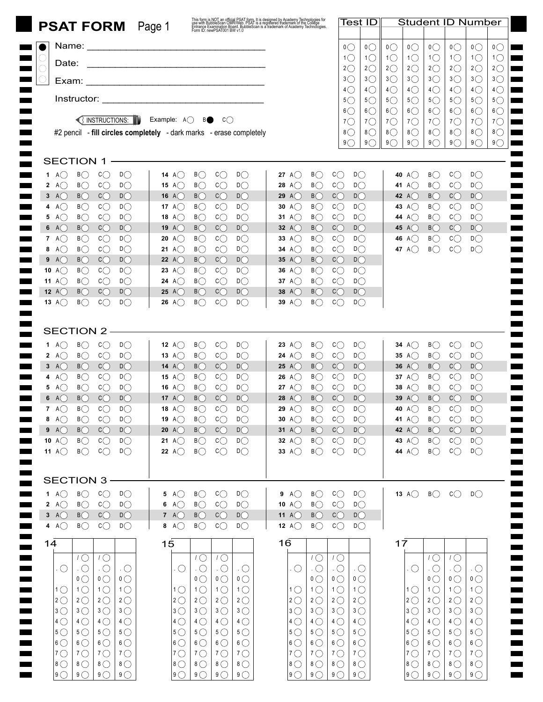|                                                                                                                                                              | This form is NOT an official PSAT form, It is designed by Academy Technologies for<br>use with BubbleScan OMR/Web. PSAT is a registered trademark of the College<br>Entrance Examination Board. BubbleScan is a trademark of Academy<br><b>PSAT FORM</b> Page 1 |                                                                       | Test ID                                                               | <b>Student ID Number</b>                                                                        |                                                                                                       |  |
|--------------------------------------------------------------------------------------------------------------------------------------------------------------|-----------------------------------------------------------------------------------------------------------------------------------------------------------------------------------------------------------------------------------------------------------------|-----------------------------------------------------------------------|-----------------------------------------------------------------------|-------------------------------------------------------------------------------------------------|-------------------------------------------------------------------------------------------------------|--|
|                                                                                                                                                              |                                                                                                                                                                                                                                                                 |                                                                       | $\overline{O}$<br>O(                                                  | $\overline{O}$<br>$\overline{O}$<br>$\mathfrak{0}\bigcirc$                                      | $\overline{O}$<br>$\mathfrak{0}\bigcirc$<br>$^{\circ}$                                                |  |
|                                                                                                                                                              |                                                                                                                                                                                                                                                                 |                                                                       | $1\circlearrowright$<br>$1\circlearrowright$                          | $1\circlearrowright$<br>$1\circlearrowright$<br>$1\circlearrowright$                            | $1\circlearrowright$<br>$1\circlearrowright$<br>$1$ $\bigcirc$                                        |  |
| Date:                                                                                                                                                        |                                                                                                                                                                                                                                                                 |                                                                       | $2\circlearrowright$<br>$2\circlearrowright$                          | $2\circlearrowright$<br>$2\circlearrowright$<br>$2\circlearrowright$                            | $2\circlearrowright$<br>$2\circlearrowright$<br>$2\bigcirc$                                           |  |
|                                                                                                                                                              |                                                                                                                                                                                                                                                                 |                                                                       | $3\bigcirc$<br>$3\bigcirc$                                            | $3\bigcirc$<br>3 <sup>o</sup><br>$3\circlearrowright$                                           | $3\bigcirc$<br>$3\bigcirc$<br>$3\bigcirc$                                                             |  |
|                                                                                                                                                              |                                                                                                                                                                                                                                                                 |                                                                       | $4\circlearrowright$<br>$4\circlearrowright$                          | $4\circledcirc$<br>$4\circledcirc$<br>$4\circ$                                                  | $4\circledcirc$<br>$4\circ$<br>$4\bigcirc$                                                            |  |
|                                                                                                                                                              |                                                                                                                                                                                                                                                                 |                                                                       | $5\circlearrowright$<br>$5\bigcirc$<br>$6\bigcirc$<br>$6$ $\bigcirc$  | $5^{\circ}$<br>$5^{\circ}$<br>$5\circlearrowright$<br>$6\bigcirc$<br>$6\bigcirc$<br>$6\bigcirc$ | $5\circlearrowright$<br>$5\circ$<br>$5\circlearrowright$<br>$6\bigcirc$<br>$6\bigcirc$<br>$6\bigcirc$ |  |
| $\bigcirc$ instructions: $\blacksquare$                                                                                                                      | Example: $A$ $\bigcirc$<br>C()<br>BO                                                                                                                                                                                                                            |                                                                       | $7^\circ$<br>$7^\circ$                                                | $7^\circ$<br>$7^{\circ}$<br>$7^\circ$                                                           | $7^\circ$<br>$7^\circ$<br>$7^{\circ}$                                                                 |  |
|                                                                                                                                                              | #2 pencil - fill circles completely - dark marks - erase completely                                                                                                                                                                                             |                                                                       | $8\bigcirc$<br>$8$ $\bigcirc$                                         | 8 <sup>o</sup><br>8 <sup>o</sup><br>$8\bigcirc$                                                 | $8\circledcirc$<br>$8\bigcirc$<br>$8\bigcirc$                                                         |  |
|                                                                                                                                                              |                                                                                                                                                                                                                                                                 |                                                                       | 9<br>$9^\circ$                                                        | 9()<br>9()<br>9()                                                                               | 9()<br>9()<br>$9$ $\bigcirc$                                                                          |  |
| <b>SECTION 1</b>                                                                                                                                             |                                                                                                                                                                                                                                                                 |                                                                       |                                                                       |                                                                                                 |                                                                                                       |  |
| B<br>$D\bigcirc$<br>1 A( )<br>C()                                                                                                                            | $\mathsf{C}\bigcirc$<br>14 A( $\prime$ )<br>B()<br>D()                                                                                                                                                                                                          | B<br>27 A( $\prime$ )                                                 | $\mathsf{C}\bigcirc$<br>$D\bigcirc$                                   | B()<br>40 A()                                                                                   | $\mathsf{C}\bigcirc$<br>D()                                                                           |  |
| $\mathsf{C}\bigcirc$<br>$D\bigcirc$<br>2 A $\bigcirc$<br>B                                                                                                   | $c_{\bigcirc}$<br>B<br>D()<br><b>15</b> A( $\prime$ )                                                                                                                                                                                                           | $B$ $\bigcirc$<br>28 A( $\prime$ )                                    | $c$ $\bigcirc$<br>$D\bigcirc$                                         | B<br>A()<br>41                                                                                  | $c$ $\bigcirc$<br>$D\bigcirc$                                                                         |  |
| $B$ $\bigcirc$<br>C()<br>D()<br>3 A $\bigcirc$                                                                                                               | $B$ $\bigcirc$<br>$c$ $\bigcirc$<br>D()<br><b>16</b> A( $)$                                                                                                                                                                                                     | $B$ $\bigcirc$<br>29 $A()$                                            | $c$ $\bigcirc$<br>D()                                                 | B()<br>42 A( $\prime$ )                                                                         | $c$ $\bigcirc$<br>D()                                                                                 |  |
| $B$ $\bigcirc$<br>$c_{\bigcirc}$<br>$D\bigcirc$<br>4 A $\bigcirc$<br>$B$ $\bigcirc$<br>$\mathsf{C}\bigcirc$<br>$D\bigcirc$                                   | B<br>$c_{\bigcirc}$<br>D()<br>17 A( $\prime$ )<br>B<br>$c_{\bigcirc}$<br>$D$ $\bigcirc$                                                                                                                                                                         | B<br>30 A( $)$<br>B<br>31 A $\bigcirc$                                | $c_{\bigcirc}$<br>$D\bigcirc$<br>$c_{\bigcirc}$<br>$D\bigcirc$        | $B$ $\bigcirc$<br>A()<br>43<br>$B$ $\bigcirc$                                                   | $c$ $\bigcirc$<br>$D\bigcirc$<br>$D\bigcirc$                                                          |  |
| 5 A $\bigcirc$<br>B()<br>C()<br>D()<br>6 A $\bigcirc$                                                                                                        | A()<br>18<br>B()<br>$c$ $\bigcirc$<br>D()<br>19 A( $\prime$ )                                                                                                                                                                                                   | B<br>32 A $\bigcirc$                                                  | C()<br>D()                                                            | A()<br>44<br>B()<br><b>45</b> A()                                                               | $c$ $\bigcirc$<br>$c$ $\bigcirc$<br>D()                                                               |  |
| $B$ $\bigcirc$<br>$\mathsf{C}\bigcirc$<br>$D\bigcirc$<br>7 A $\bigcirc$                                                                                      | $B$ $\bigcirc$<br>$c_{\bigcirc}$<br>$D$ $\bigcirc$<br>A()<br>20                                                                                                                                                                                                 | B<br>33 A $\bigcirc$                                                  | $c$ $\bigcirc$<br>$D\bigcirc$                                         | B<br>46<br>A()                                                                                  | $c$ $\bigcirc$<br>$D\bigcirc$                                                                         |  |
| $B$ $\bigcirc$<br>$D\bigcirc$<br>8 $A$ $\bigcirc$<br>$\mathsf{C}\bigcirc$                                                                                    | B<br>$c_{\bigcirc}$<br>D()<br>A()<br>21                                                                                                                                                                                                                         | B<br>34 A $\bigcirc$                                                  | $c_{\bigcirc}$<br>D()                                                 | B()<br>A()<br>47                                                                                | C()<br>D()                                                                                            |  |
| $B$ $\bigcirc$<br>C()<br>$D\bigcirc$<br>9 A( )                                                                                                               | $B$ $\bigcirc$<br>$c_{\bigcirc}$<br>D()<br><b>22</b> A()                                                                                                                                                                                                        | $B$ $\bigcirc$<br>35 A $\bigcirc$                                     | $c_{\bigcirc}$<br>$D\bigcirc$                                         |                                                                                                 |                                                                                                       |  |
| $B$ $\bigcirc$<br>$D\bigcirc$<br>10 A $\bigcirc$<br>$\mathsf{C}\bigcirc$                                                                                     | $B$ $\bigcirc$<br>$c_{\bigcirc}$<br>D()<br>A()<br>23                                                                                                                                                                                                            | B<br>36 A $\bigcirc$                                                  | $c$ $\bigcirc$<br>$D\bigcirc$                                         |                                                                                                 |                                                                                                       |  |
| $D\bigcirc$<br>11 A $\bigcirc$<br>B<br>$\mathsf{C}\bigcirc$                                                                                                  | B<br>$\mathsf{C}\bigcirc$<br>D()<br>24 A()                                                                                                                                                                                                                      | $B$ $\bigcirc$<br>37 A $\bigcirc$                                     | $c_{\bigcirc}$<br>$D\bigcirc$                                         |                                                                                                 |                                                                                                       |  |
| B()<br>$c$ $\bigcirc$<br>$D\bigcirc$<br><b>12</b> A( $)$<br>B()<br>C()<br>$D\bigcap$<br>13 A( $\prime$ )                                                     | $c$ $\bigcirc$<br>D()<br>B()<br>25 A ()<br>$B$ $\bigcap$<br>D()<br>C()<br>26<br>A( )                                                                                                                                                                            | 38 $A()$<br>B()<br>$B$ $\bigcirc$<br>39 A $($ )                       | $c$ $\bigcirc$<br>$D\bigcirc$<br>$c\bigcap$<br>D()                    |                                                                                                 |                                                                                                       |  |
|                                                                                                                                                              |                                                                                                                                                                                                                                                                 |                                                                       |                                                                       |                                                                                                 |                                                                                                       |  |
| <b>SECTION 2</b>                                                                                                                                             |                                                                                                                                                                                                                                                                 |                                                                       |                                                                       |                                                                                                 |                                                                                                       |  |
| 1 A $\bigcirc$<br>B()<br>C()<br>D()                                                                                                                          | $c$ $\bigcirc$<br>B()<br>D()<br>12 A( $\prime$ )                                                                                                                                                                                                                | B<br><b>23</b> A( $\prime$ )                                          | $c_{\bigcirc}$<br>D()                                                 | B()<br>34 A()                                                                                   | $c$ $\bigcirc$<br>D()                                                                                 |  |
| $c$ $\bigcirc$<br>$D\bigcirc$<br>2 A $\bigcirc$<br>$B$ $\bigcirc$                                                                                            | $B$ $\bigcirc$<br>$c$ $\bigcirc$<br>$D\bigcirc$<br>13 A( $\prime$ )                                                                                                                                                                                             | B<br>24 A( )                                                          | $c_{\bigcirc}$<br>$D\bigcirc$                                         | B<br>A()<br>35                                                                                  | $\mathsf{C}\bigcirc$<br>$D\bigcirc$                                                                   |  |
| $B$ $\bigcirc$<br>$c_{\bigcirc}$<br>$D\bigcirc$<br>3 A $\bigcirc$                                                                                            | $B$ $\bigcirc$<br>$c_{\bigcirc}$<br>D()<br><b>14</b> A()                                                                                                                                                                                                        | $B$ $\bigcirc$<br>25 A $\bigcap$                                      | $c_{\bigcirc}$<br>$D\bigcirc$                                         | $B$ $\bigcirc$<br>36 A( $)$                                                                     | C<br>$D\bigcirc$                                                                                      |  |
| $D\bigcirc$<br>4 A $\bigcirc$<br>$B$ $\bigcirc$<br>$\mathsf{C}\bigcirc$                                                                                      | B<br>$c_{\bigcirc}$<br>$D\bigcirc$<br>15 A( $\prime$ )                                                                                                                                                                                                          | B<br>26 A $\bigcirc$                                                  | $c_{\bigcirc}$<br>$D\bigcirc$                                         | B<br>37 A( $)$                                                                                  | $c$ $\bigcirc$<br>$D\bigcirc$                                                                         |  |
| $D\bigcirc$<br>5 A $\bigcirc$<br>$B$ $\bigcirc$<br>$\mathsf{C}\bigcirc$                                                                                      | $B$ $\bigcirc$<br>$\mathsf{C}\bigcirc$<br>$D\bigcirc$<br>A()<br>16                                                                                                                                                                                              | $B$ $\bigcirc$<br>27 A( $\prime$ )                                    | $c_{\bigcirc}$<br>$D\bigcirc$                                         | B<br>A()<br>38                                                                                  | $c$ $\bigcirc$<br>$D\bigcirc$                                                                         |  |
| B()<br>C()<br>$D$ $\bigcirc$<br>6 A()                                                                                                                        | C()<br>D()<br>B()<br>17 A $\left($ $\right)$                                                                                                                                                                                                                    | 28 A $\bigcap$<br>B()                                                 | C()<br>$D$ $\bigcirc$                                                 | B()<br>A()<br>39                                                                                | C()<br>$D$ $\bigcirc$                                                                                 |  |
| B()<br>C()<br>$D$ $\bigcirc$<br>7 A $\bigcirc$<br>$\mathsf{C}\bigcirc$<br>$D\bigcirc$                                                                        | $B$ $\bigcirc$<br>C()<br>$D\bigcap$<br>18 $A()$<br>$c$ $\bigcirc$<br>$D\bigcirc$<br>19 A $\bigcirc$                                                                                                                                                             | $B$ $\bigcirc$<br>29 A $\bigcap$<br>$B$ $\bigcirc$<br>30 A $\bigcirc$ | $c_{\bigcirc}$<br>$D\bigcirc$<br>$c$ $\bigcirc$<br>D()                | B()<br>40 A( $\prime$ )<br>41 A $\bigcap$<br>B()                                                | $c_{\bigcirc}$<br>$D\bigcap$<br>$c_{\bigcirc}$                                                        |  |
| 8 A $\bigcirc$<br>$B\bigcirc$<br>$D\bigcirc$<br>9 A<br>$B$ $\bigcirc$<br>$c_{\bigcirc}$                                                                      | $B\bigcirc$<br>$c_{\bigcirc}$<br>$B$ $\bigcirc$<br>$D\bigcirc$<br>20 A $\bigcirc$                                                                                                                                                                               | $B$ $\bigcirc$<br>31 A $\bigcirc$                                     | C<br>$D\bigcirc$                                                      | 42 A $\bigcirc$<br>$B$ $\bigcirc$                                                               | $D\bigcirc$<br>$C\bigcirc$<br>$D\bigcirc$                                                             |  |
| $D\bigcirc$<br>10 $A$ $\bigcirc$<br>$B$ $\bigcirc$<br>$c_{\bigcirc}$                                                                                         | 21 A $\bigcirc$<br>$B$ $\bigcirc$<br>$c_{\bigcirc}$<br>$D\bigcirc$                                                                                                                                                                                              | $B$ $\bigcirc$<br>32 A $\bigcirc$                                     | $\mathsf{C}\bigcirc$<br>$D\bigcirc$                                   | $B$ $\bigcirc$<br>43 A $\bigcirc$                                                               | $c_{\bigcirc}$<br>$D\bigcirc$                                                                         |  |
| 11 $A$ $\bigcirc$<br>$B$ $\bigcirc$<br>$c_{\bigcirc}$<br>$D\bigcirc$                                                                                         | 22 A $\bigcirc$<br>$B$ $\bigcirc$<br>$c_{\bigcirc}$<br>D()                                                                                                                                                                                                      | $B$ $\bigcirc$<br>33 A $\bigcirc$                                     | $\mathsf{C}\bigcirc$<br>$D\bigcirc$                                   | 44 A $\bigcirc$<br>$B$ $\bigcirc$                                                               | $c_{\bigcirc}$<br>$D\bigcirc$                                                                         |  |
| <b>SECTION 3</b>                                                                                                                                             |                                                                                                                                                                                                                                                                 |                                                                       |                                                                       |                                                                                                 |                                                                                                       |  |
| 1 A $\bigcirc$<br>$B$ $\bigcirc$<br>$c_{\bigcirc}$<br>$D\bigcirc$                                                                                            | $c_{\bigcirc}$<br>$D\bigcirc$<br>B()<br>5 A( $)$                                                                                                                                                                                                                | $B$ $\bigcirc$<br>9 A $\bigcirc$                                      | $\mathsf{C}\bigcirc$<br>$D\bigcirc$                                   | $B$ $\bigcirc$<br>13 A $\bigcirc$                                                               | $c$ $\bigcirc$<br>$D\bigcirc$                                                                         |  |
| $B$ $\bigcirc$<br>$c_{\bigcirc}$<br>$D\bigcirc$<br>2 A $\bigcirc$                                                                                            | $c_{\bigcirc}$<br>$A\bigcirc$<br>$B$ $\bigcirc$<br>$D\bigcirc$<br>6                                                                                                                                                                                             | $B$ $\bigcirc$<br>10 $A$ $\bigcirc$                                   | $c$ $\bigcirc$<br>$D\bigcirc$                                         |                                                                                                 |                                                                                                       |  |
| $3 \text{ A}$<br>$B$ $\bigcirc$<br>C()<br>$D\bigcirc$                                                                                                        | 7 A $\bigcirc$<br>$B$ $\bigcirc$<br>C<br>$D\bigcirc$                                                                                                                                                                                                            | $B$ $\bigcirc$<br>11 A $\bigcirc$                                     | C<br>$D\bigcirc$                                                      |                                                                                                 |                                                                                                       |  |
| 4 A $\bigcirc$<br>$B$ $\bigcirc$<br>$c_{\bigcirc}$<br>$D\bigcirc$                                                                                            | 8 $A$ $\bigcirc$<br>$B$ $\bigcirc$<br>$c_{\bigcirc}$<br>$D\bigcirc$                                                                                                                                                                                             | 12 $A$ $\bigcirc$<br>$B$ $\bigcirc$                                   | $\mathsf{C}\bigcirc$<br>$D\bigcirc$                                   |                                                                                                 |                                                                                                       |  |
| 14                                                                                                                                                           | 15                                                                                                                                                                                                                                                              | 16                                                                    |                                                                       | 17                                                                                              |                                                                                                       |  |
| $1^\circ$<br>$1^\circ$                                                                                                                                       | $1^\circ$<br>$1\circlearrowright$                                                                                                                                                                                                                               | $1\bigcirc$                                                           | $1^{\circ}$                                                           | $1\circlearrowright$                                                                            | $1\bigcirc$                                                                                           |  |
| $\cdot$ O<br>$\cdot$ O<br>$\cdot$ O<br>$\cdot$ O                                                                                                             | $\cdot$ O<br>$\cdot$ O<br>$\overline{O}$<br>. O                                                                                                                                                                                                                 | $\cdot$ O<br>. $\bigcirc$                                             | $\cdot$ O<br>$\cdot$ O                                                | $\cdot$ O<br>. ( )                                                                              | $\cdot$ O<br>. $\bigcirc$                                                                             |  |
| $\mathfrak{o}\bigcirc$<br>$\overline{0}$<br>$\mathfrak{o}\bigcirc$<br>1 <sup>0</sup><br>$1\circlearrowright$<br>$1\circlearrowright$<br>$1\circlearrowright$ | $\overline{0}$<br>$\overline{0}$<br>$\mathfrak{o}\bigcirc$<br>$1\circlearrowright$<br>$1\circlearrowright$<br>$1\circlearrowright$<br>$1\circlearrowright$                                                                                                      | $\overline{0}$<br>$1\circlearrowright$<br>$1\circlearrowright$        | $\overline{0}$<br>$\overline{0}$<br>$1^\circ$<br>$1\circlearrowright$ | $\overline{0}$<br>$1\circlearrowright$<br>$1\circlearrowright$                                  | $\overline{0}$<br>$\mathfrak{o}\bigcirc$<br>$1^\circ$<br>$1\circlearrowright$                         |  |
| $ 2$ $\bigcirc$<br>$2^{\circ}$<br>$2^{\circ}$<br>$2^{\circ}$                                                                                                 | $2^{\circ}$<br>$2^{\circ}$<br>$2^{\circ}$<br>$2^{\circ}$                                                                                                                                                                                                        | $2^{\circ}$<br>$2^{\circ}$                                            | $2^{\circ}$<br>$2^{\circ}$                                            | $2^{\circ}$<br>$ 2$ $\bigcirc$                                                                  | $2^{\circ}$<br>$2^{\circ}$                                                                            |  |
| $3\bigcirc$<br>$3\bigcirc$<br>$3\bigcirc$<br>$3\bigcirc$                                                                                                     | $3^{\circ}$<br>$3\bigcirc$<br>$3\bigcirc$<br>$3\bigcirc$                                                                                                                                                                                                        | $3\bigcirc$<br>$3\bigcirc$                                            | $3\bigcirc$<br>$3\bigcirc$                                            | $3\bigcirc$<br>$ 3\bigcirc$                                                                     | $3\bigcirc$<br>$3\bigcirc$                                                                            |  |
| $ 4$ $\bigcirc$<br>$4\circ$<br>$4\bigcirc$<br>$4\circ$                                                                                                       | $4\circ$<br>$4\circ$<br>$4\circ$<br>$4\circ$                                                                                                                                                                                                                    | $4\circ$<br>$4\circ$                                                  | $4\circ$<br>$4\circ$                                                  | $4\circ$<br>$ 4$ $\bigcirc$                                                                     | $4\bigcirc$<br>$4\circ$                                                                               |  |
| $5^{\circ}$<br>$5^{\circ}$<br>$5^{\circ}$<br>$5^\circ$                                                                                                       | $5^{\circ}$<br>$5^{\circ}$<br>$5^{\circ}$<br>$5^{\circ}$                                                                                                                                                                                                        | $5^{\circ}$<br>$5^{\circ}$                                            | $5^{\circ}$<br>$5^{\circ}$                                            | $5^{\circ}$<br>$5^{\circ}$                                                                      | $5^{\circ}$<br>$5^{\circ}$                                                                            |  |
| $ 6 \bigcirc$<br>$6\bigcirc$<br>$6\bigcirc$<br>$6\bigcirc$                                                                                                   | $6\bigcirc$<br>$6\bigcirc$<br>$6\bigcirc$<br>$6\bigcirc$                                                                                                                                                                                                        | $6\bigcirc$<br>$6\bigcirc$                                            | $6\bigcirc$<br>$6\bigcirc$                                            | $6\bigcirc$<br>$ 6 \bigcirc$                                                                    | $6\bigcirc$<br>$6\bigcirc$                                                                            |  |
| $ 7$ $\bigcirc$<br>$7^\circ$<br>$7^{\circ}$<br>$7^\circ$                                                                                                     | $7^{\circ}$<br>$7^{\circ}$<br>$7^{\circ}$<br>$7^\circ$                                                                                                                                                                                                          | $7^\circ$<br>$7^{\circ}$                                              | $7^\circ$<br>$7^{\circ}$                                              | $7^\circ$<br>$7^{\circ}$                                                                        | $7^{\circ}$<br>$7^\circ$                                                                              |  |
| $ 8$ $\bigcirc$<br>$8\bigcirc$<br>$8\bigcirc$<br>$8\bigcirc$<br>$ 9$ $\bigcirc$<br>$9$ $\bigcirc$<br>$9^\circ$<br>$9^\circ$                                  | $8\bigcirc$<br>$8\bigcirc$<br>$8\bigcirc$<br>$8\bigcirc$                                                                                                                                                                                                        | $8\bigcirc$<br>$8\bigcirc$<br>9()                                     | $8\bigcirc$<br>$8\bigcirc$<br>$9^\circ$<br>$9^\circ$                  | $8\bigcirc$<br>$ 8$ $\bigcirc$                                                                  | $8\bigcirc$<br>$8\bigcirc$                                                                            |  |
|                                                                                                                                                              | $9$ $\bigcirc$<br>$9^\circ$<br>$9^\circ$<br>$9^\circ$                                                                                                                                                                                                           | $9$ $\bigcirc$                                                        |                                                                       | $9$ $\bigcirc$<br>9()                                                                           | $9^\circ$<br>$9^\circ$                                                                                |  |